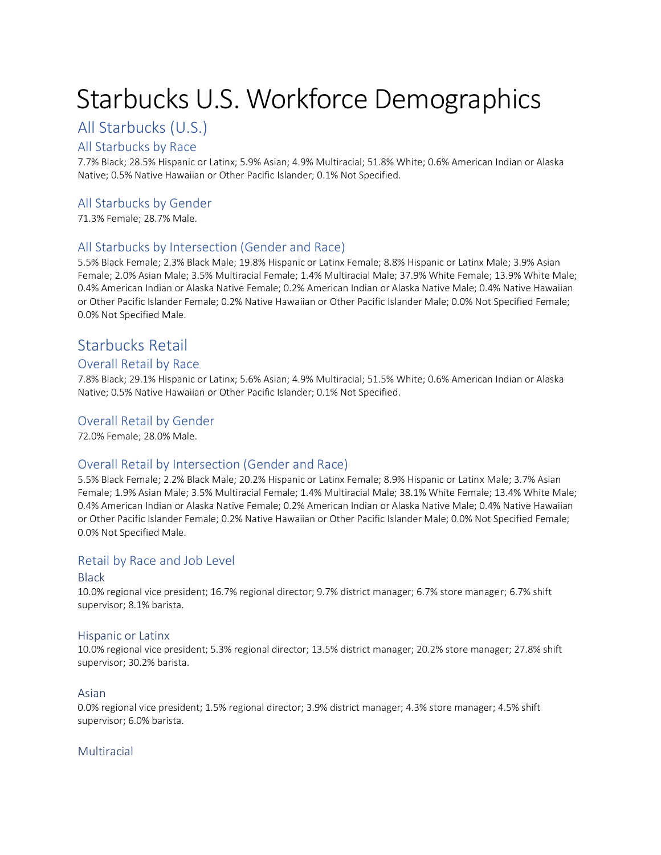# Starbucks U.S. Workforce Demographics

# All Starbucks (U.S.)

# All Starbucks by Race

7.7% Black; 28.5% Hispanic or Latinx; 5.9% Asian; 4.9% Multiracial; 51.8% White; 0.6% American Indian or Alaska Native; 0.5% Native Hawaiian or Other Pacific Islander; 0.1% Not Specified.

# All Starbucks by Gender

71.3% Female; 28.7% Male.

# All Starbucks by Intersection (Gender and Race)

5.5% Black Female; 2.3% Black Male; 19.8% Hispanic or Latinx Female; 8.8% Hispanic or Latinx Male; 3.9% Asian Female; 2.0% Asian Male; 3.5% Multiracial Female; 1.4% Multiracial Male; 37.9% White Female; 13.9% White Male; 0.4% American Indian or Alaska Native Female; 0.2% American Indian or Alaska Native Male; 0.4% Native Hawaiian or Other Pacific Islander Female; 0.2% Native Hawaiian or Other Pacific Islander Male; 0.0% Not Specified Female; 0.0% Not Specified Male.

# Starbucks Retail

# Overall Retail by Race

7.8% Black; 29.1% Hispanic or Latinx; 5.6% Asian; 4.9% Multiracial; 51.5% White; 0.6% American Indian or Alaska Native; 0.5% Native Hawaiian or Other Pacific Islander; 0.1% Not Specified.

# Overall Retail by Gender

72.0% Female; 28.0% Male.

# Overall Retail by Intersection (Gender and Race)

5.5% Black Female; 2.2% Black Male; 20.2% Hispanic or Latinx Female; 8.9% Hispanic or Latinx Male; 3.7% Asian Female; 1.9% Asian Male; 3.5% Multiracial Female; 1.4% Multiracial Male; 38.1% White Female; 13.4% White Male; 0.4% American Indian or Alaska Native Female; 0.2% American Indian or Alaska Native Male; 0.4% Native Hawaiian or Other Pacific Islander Female; 0.2% Native Hawaiian or Other Pacific Islander Male; 0.0% Not Specified Female; 0.0% Not Specified Male.

# Retail by Race and Job Level

# Black

10.0% regional vice president; 16.7% regional director; 9.7% district manager; 6.7% store manager; 6.7% shift supervisor; 8.1% barista.

# Hispanic or Latinx

10.0% regional vice president; 5.3% regional director; 13.5% district manager; 20.2% store manager; 27.8% shift supervisor; 30.2% barista.

# Asian

0.0% regional vice president; 1.5% regional director; 3.9% district manager; 4.3% store manager; 4.5% shift supervisor; 6.0% barista.

# Multiracial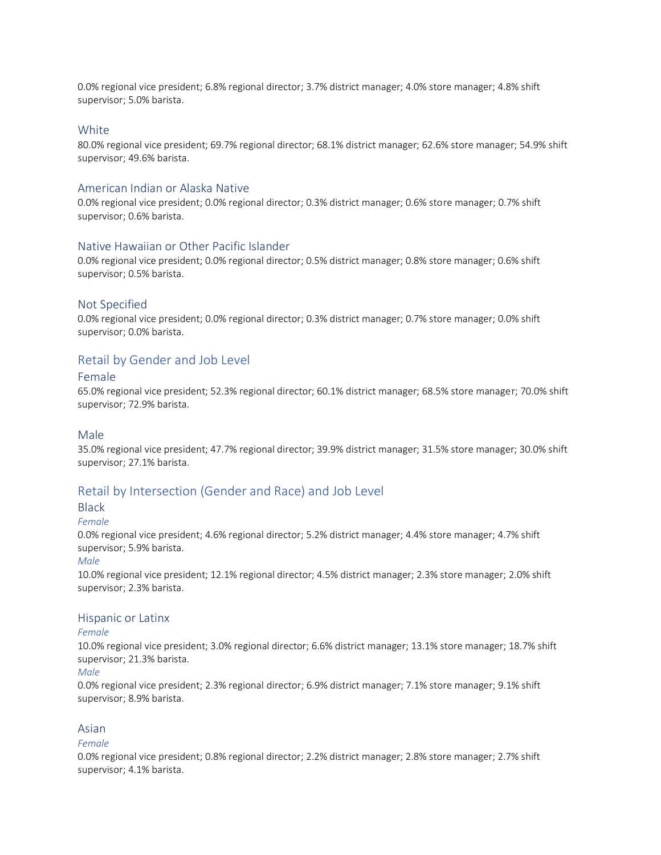0.0% regional vice president; 6.8% regional director; 3.7% district manager; 4.0% store manager; 4.8% shift supervisor; 5.0% barista.

#### **White**

80.0% regional vice president; 69.7% regional director; 68.1% district manager; 62.6% store manager; 54.9% shift supervisor; 49.6% barista.

#### American Indian or Alaska Native

0.0% regional vice president; 0.0% regional director; 0.3% district manager; 0.6% store manager; 0.7% shift supervisor; 0.6% barista.

#### Native Hawaiian or Other Pacific Islander

0.0% regional vice president; 0.0% regional director; 0.5% district manager; 0.8% store manager; 0.6% shift supervisor; 0.5% barista.

#### Not Specified

0.0% regional vice president; 0.0% regional director; 0.3% district manager; 0.7% store manager; 0.0% shift supervisor; 0.0% barista.

### Retail by Gender and Job Level

#### Female

65.0% regional vice president; 52.3% regional director; 60.1% district manager; 68.5% store manager; 70.0% shift supervisor; 72.9% barista.

#### Male

35.0% regional vice president; 47.7% regional director; 39.9% district manager; 31.5% store manager; 30.0% shift supervisor; 27.1% barista.

### Retail by Intersection (Gender and Race) and Job Level

#### **Black**

*Female*

0.0% regional vice president; 4.6% regional director; 5.2% district manager; 4.4% store manager; 4.7% shift supervisor; 5.9% barista.

#### *Male*

10.0% regional vice president; 12.1% regional director; 4.5% district manager; 2.3% store manager; 2.0% shift supervisor; 2.3% barista.

#### Hispanic or Latinx

#### *Female*

10.0% regional vice president; 3.0% regional director; 6.6% district manager; 13.1% store manager; 18.7% shift supervisor; 21.3% barista.

#### *Male*

0.0% regional vice president; 2.3% regional director; 6.9% district manager; 7.1% store manager; 9.1% shift supervisor; 8.9% barista.

#### Asian

#### *Female*

0.0% regional vice president; 0.8% regional director; 2.2% district manager; 2.8% store manager; 2.7% shift supervisor; 4.1% barista.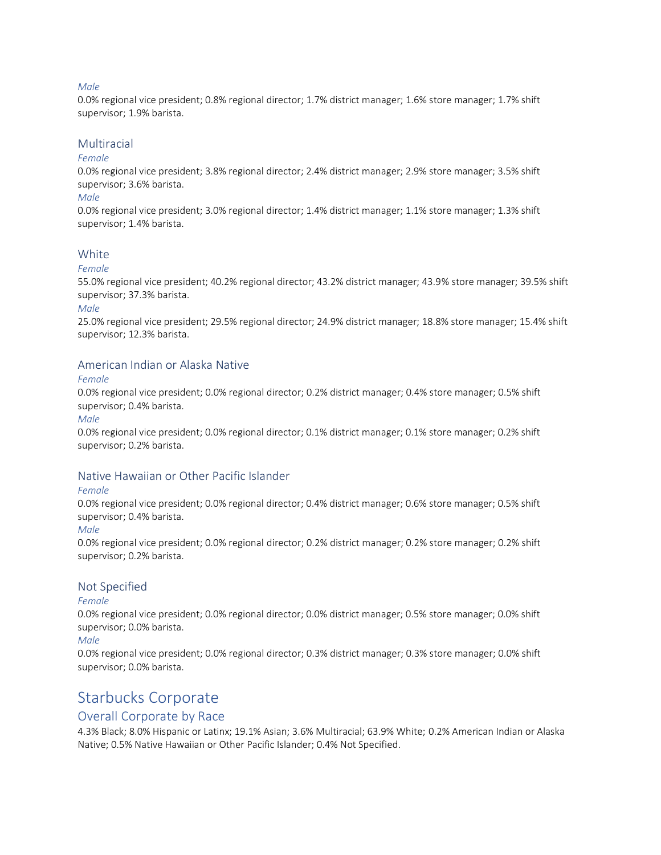#### *Male*

0.0% regional vice president; 0.8% regional director; 1.7% district manager; 1.6% store manager; 1.7% shift supervisor; 1.9% barista.

#### Multiracial

#### *Female*

0.0% regional vice president; 3.8% regional director; 2.4% district manager; 2.9% store manager; 3.5% shift supervisor; 3.6% barista.

#### *Male*

0.0% regional vice president; 3.0% regional director; 1.4% district manager; 1.1% store manager; 1.3% shift supervisor; 1.4% barista.

#### **White**

#### *Female*

55.0% regional vice president; 40.2% regional director; 43.2% district manager; 43.9% store manager; 39.5% shift supervisor; 37.3% barista.

#### *Male*

25.0% regional vice president; 29.5% regional director; 24.9% district manager; 18.8% store manager; 15.4% shift supervisor; 12.3% barista.

### American Indian or Alaska Native

#### *Female*

0.0% regional vice president; 0.0% regional director; 0.2% district manager; 0.4% store manager; 0.5% shift supervisor; 0.4% barista.

#### *Male*

0.0% regional vice president; 0.0% regional director; 0.1% district manager; 0.1% store manager; 0.2% shift supervisor; 0.2% barista.

### Native Hawaiian or Other Pacific Islander

#### *Female*

0.0% regional vice president; 0.0% regional director; 0.4% district manager; 0.6% store manager; 0.5% shift supervisor; 0.4% barista.

#### *Male*

0.0% regional vice president; 0.0% regional director; 0.2% district manager; 0.2% store manager; 0.2% shift supervisor; 0.2% barista.

#### Not Specified

#### *Female*

0.0% regional vice president; 0.0% regional director; 0.0% district manager; 0.5% store manager; 0.0% shift supervisor; 0.0% barista.

#### *Male*

0.0% regional vice president; 0.0% regional director; 0.3% district manager; 0.3% store manager; 0.0% shift supervisor; 0.0% barista.

# Starbucks Corporate

# Overall Corporate by Race

4.3% Black; 8.0% Hispanic or Latinx; 19.1% Asian; 3.6% Multiracial; 63.9% White; 0.2% American Indian or Alaska Native; 0.5% Native Hawaiian or Other Pacific Islander; 0.4% Not Specified.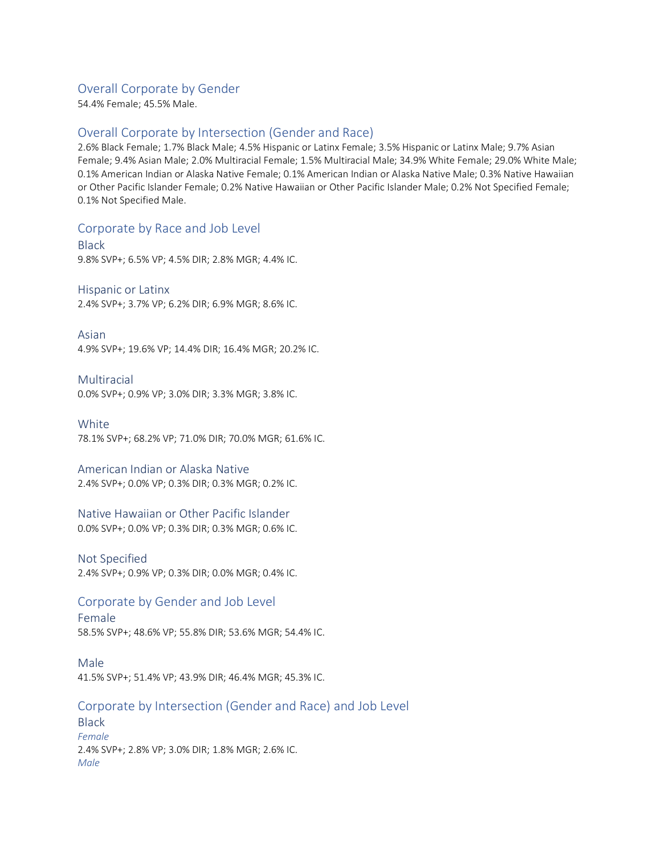# Overall Corporate by Gender

54.4% Female; 45.5% Male.

# Overall Corporate by Intersection (Gender and Race)

2.6% Black Female; 1.7% Black Male; 4.5% Hispanic or Latinx Female; 3.5% Hispanic or Latinx Male; 9.7% Asian Female; 9.4% Asian Male; 2.0% Multiracial Female; 1.5% Multiracial Male; 34.9% White Female; 29.0% White Male; 0.1% American Indian or Alaska Native Female; 0.1% American Indian or Alaska Native Male; 0.3% Native Hawaiian or Other Pacific Islander Female; 0.2% Native Hawaiian or Other Pacific Islander Male; 0.2% Not Specified Female; 0.1% Not Specified Male.

# Corporate by Race and Job Level

Black 9.8% SVP+; 6.5% VP; 4.5% DIR; 2.8% MGR; 4.4% IC.

Hispanic or Latinx 2.4% SVP+; 3.7% VP; 6.2% DIR; 6.9% MGR; 8.6% IC.

Asian 4.9% SVP+; 19.6% VP; 14.4% DIR; 16.4% MGR; 20.2% IC.

Multiracial

0.0% SVP+; 0.9% VP; 3.0% DIR; 3.3% MGR; 3.8% IC.

**White** 78.1% SVP+; 68.2% VP; 71.0% DIR; 70.0% MGR; 61.6% IC.

# American Indian or Alaska Native

2.4% SVP+; 0.0% VP; 0.3% DIR; 0.3% MGR; 0.2% IC.

# Native Hawaiian or Other Pacific Islander

0.0% SVP+; 0.0% VP; 0.3% DIR; 0.3% MGR; 0.6% IC.

# Not Specified

2.4% SVP+; 0.9% VP; 0.3% DIR; 0.0% MGR; 0.4% IC.

# Corporate by Gender and Job Level

Female 58.5% SVP+; 48.6% VP; 55.8% DIR; 53.6% MGR; 54.4% IC.

Male 41.5% SVP+; 51.4% VP; 43.9% DIR; 46.4% MGR; 45.3% IC.

# Corporate by Intersection (Gender and Race) and Job Level

**Black** *Female* 2.4% SVP+; 2.8% VP; 3.0% DIR; 1.8% MGR; 2.6% IC. *Male*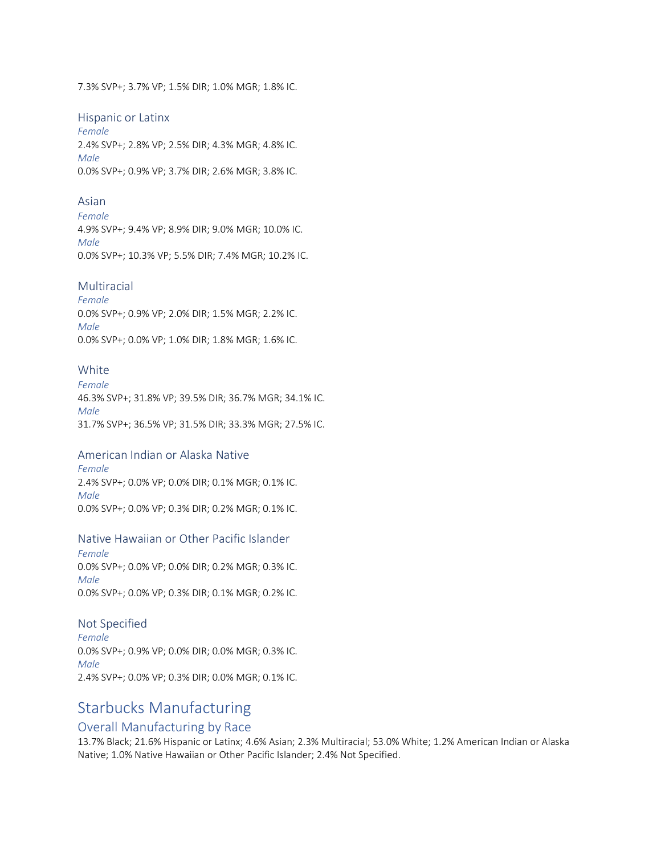7.3% SVP+; 3.7% VP; 1.5% DIR; 1.0% MGR; 1.8% IC.

#### Hispanic or Latinx

*Female* 2.4% SVP+; 2.8% VP; 2.5% DIR; 4.3% MGR; 4.8% IC. *Male* 0.0% SVP+; 0.9% VP; 3.7% DIR; 2.6% MGR; 3.8% IC.

#### Asian

*Female* 4.9% SVP+; 9.4% VP; 8.9% DIR; 9.0% MGR; 10.0% IC. *Male* 0.0% SVP+; 10.3% VP; 5.5% DIR; 7.4% MGR; 10.2% IC.

#### Multiracial

*Female* 0.0% SVP+; 0.9% VP; 2.0% DIR; 1.5% MGR; 2.2% IC. *Male* 0.0% SVP+; 0.0% VP; 1.0% DIR; 1.8% MGR; 1.6% IC.

### **White**

*Female* 46.3% SVP+; 31.8% VP; 39.5% DIR; 36.7% MGR; 34.1% IC. *Male* 31.7% SVP+; 36.5% VP; 31.5% DIR; 33.3% MGR; 27.5% IC.

#### American Indian or Alaska Native

*Female* 2.4% SVP+; 0.0% VP; 0.0% DIR; 0.1% MGR; 0.1% IC. *Male* 0.0% SVP+; 0.0% VP; 0.3% DIR; 0.2% MGR; 0.1% IC.

#### Native Hawaiian or Other Pacific Islander

*Female* 0.0% SVP+; 0.0% VP; 0.0% DIR; 0.2% MGR; 0.3% IC. *Male* 0.0% SVP+; 0.0% VP; 0.3% DIR; 0.1% MGR; 0.2% IC.

#### Not Specified

*Female* 0.0% SVP+; 0.9% VP; 0.0% DIR; 0.0% MGR; 0.3% IC. *Male* 2.4% SVP+; 0.0% VP; 0.3% DIR; 0.0% MGR; 0.1% IC.

# Starbucks Manufacturing

# Overall Manufacturing by Race

13.7% Black; 21.6% Hispanic or Latinx; 4.6% Asian; 2.3% Multiracial; 53.0% White; 1.2% American Indian or Alaska Native; 1.0% Native Hawaiian or Other Pacific Islander; 2.4% Not Specified.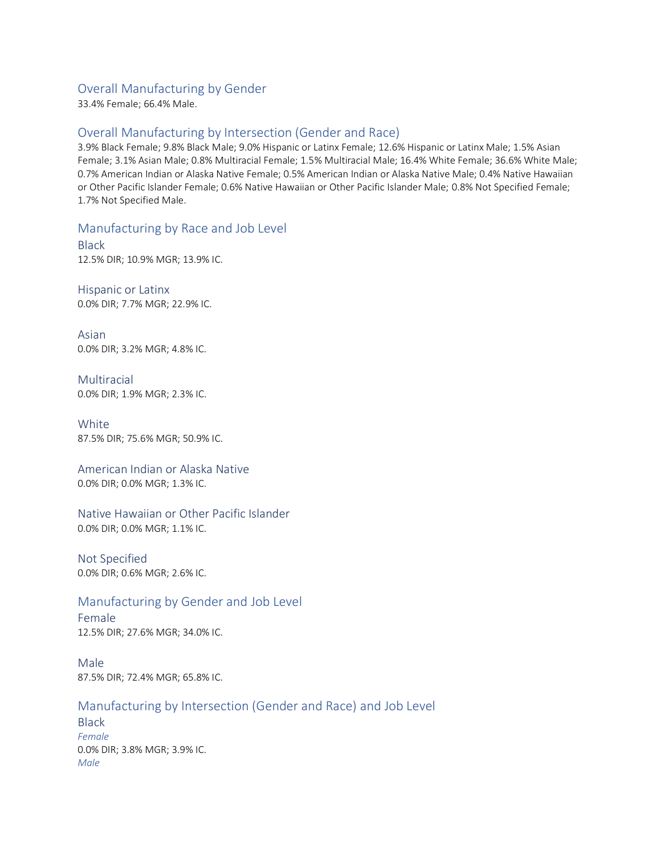# Overall Manufacturing by Gender

33.4% Female; 66.4% Male.

# Overall Manufacturing by Intersection (Gender and Race)

3.9% Black Female; 9.8% Black Male; 9.0% Hispanic or Latinx Female; 12.6% Hispanic or Latinx Male; 1.5% Asian Female; 3.1% Asian Male; 0.8% Multiracial Female; 1.5% Multiracial Male; 16.4% White Female; 36.6% White Male; 0.7% American Indian or Alaska Native Female; 0.5% American Indian or Alaska Native Male; 0.4% Native Hawaiian or Other Pacific Islander Female; 0.6% Native Hawaiian or Other Pacific Islander Male; 0.8% Not Specified Female; 1.7% Not Specified Male.

# Manufacturing by Race and Job Level

Black 12.5% DIR; 10.9% MGR; 13.9% IC.

Hispanic or Latinx 0.0% DIR; 7.7% MGR; 22.9% IC.

Asian 0.0% DIR; 3.2% MGR; 4.8% IC.

Multiracial 0.0% DIR; 1.9% MGR; 2.3% IC.

**White** 87.5% DIR; 75.6% MGR; 50.9% IC.

#### American Indian or Alaska Native 0.0% DIR; 0.0% MGR; 1.3% IC.

Native Hawaiian or Other Pacific Islander 0.0% DIR; 0.0% MGR; 1.1% IC.

Not Specified 0.0% DIR; 0.6% MGR; 2.6% IC.

# Manufacturing by Gender and Job Level

Female 12.5% DIR; 27.6% MGR; 34.0% IC.

Male 87.5% DIR; 72.4% MGR; 65.8% IC.

# Manufacturing by Intersection (Gender and Race) and Job Level

**Black** *Female* 0.0% DIR; 3.8% MGR; 3.9% IC. *Male*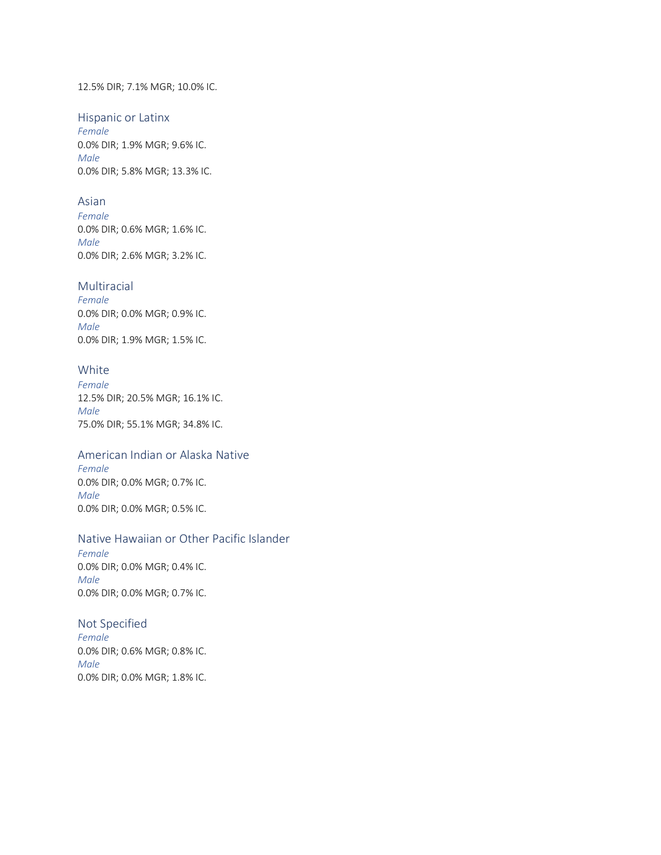#### 12.5% DIR; 7.1% MGR; 10.0% IC.

#### Hispanic or Latinx

*Female* 0.0% DIR; 1.9% MGR; 9.6% IC. *Male* 0.0% DIR; 5.8% MGR; 13.3% IC.

### Asian

*Female* 0.0% DIR; 0.6% MGR; 1.6% IC. *Male* 0.0% DIR; 2.6% MGR; 3.2% IC.

#### Multiracial

*Female* 0.0% DIR; 0.0% MGR; 0.9% IC. *Male* 0.0% DIR; 1.9% MGR; 1.5% IC.

# White

*Female* 12.5% DIR; 20.5% MGR; 16.1% IC. *Male* 75.0% DIR; 55.1% MGR; 34.8% IC.

#### American Indian or Alaska Native

*Female* 0.0% DIR; 0.0% MGR; 0.7% IC. *Male* 0.0% DIR; 0.0% MGR; 0.5% IC.

### Native Hawaiian or Other Pacific Islander

*Female* 0.0% DIR; 0.0% MGR; 0.4% IC. *Male* 0.0% DIR; 0.0% MGR; 0.7% IC.

#### Not Specified

*Female* 0.0% DIR; 0.6% MGR; 0.8% IC. *Male* 0.0% DIR; 0.0% MGR; 1.8% IC.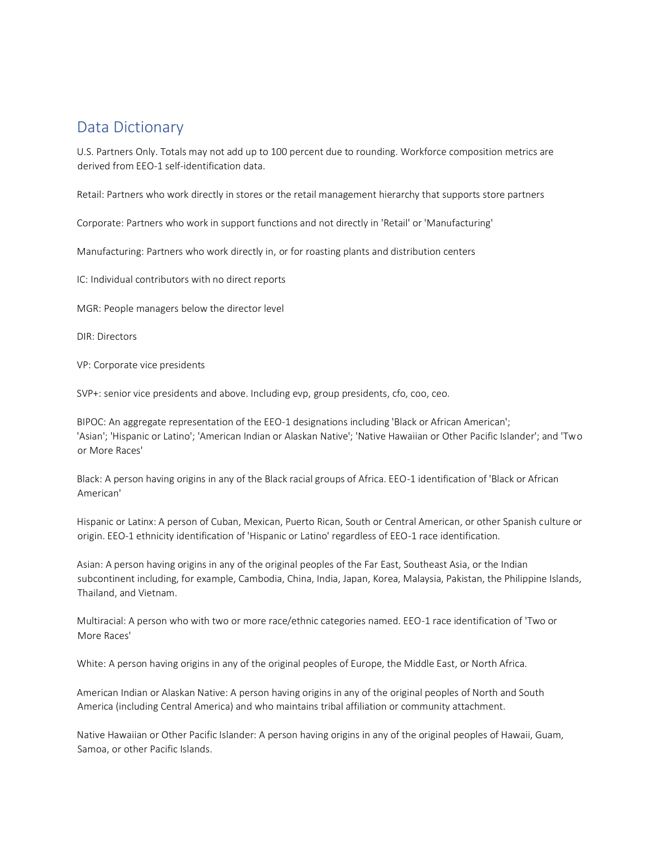# Data Dictionary

U.S. Partners Only. Totals may not add up to 100 percent due to rounding. Workforce composition metrics are derived from EEO-1 self-identification data.

Retail: Partners who work directly in stores or the retail management hierarchy that supports store partners

Corporate: Partners who work in support functions and not directly in 'Retail' or 'Manufacturing'

Manufacturing: Partners who work directly in, or for roasting plants and distribution centers

IC: Individual contributors with no direct reports

MGR: People managers below the director level

DIR: Directors

VP: Corporate vice presidents

SVP+: senior vice presidents and above. Including evp, group presidents, cfo, coo, ceo.

BIPOC: An aggregate representation of the EEO-1 designations including 'Black or African American'; 'Asian'; 'Hispanic or Latino'; 'American Indian or Alaskan Native'; 'Native Hawaiian or Other Pacific Islander'; and 'Two or More Races'

Black: A person having origins in any of the Black racial groups of Africa. EEO-1 identification of 'Black or African American'

Hispanic or Latinx: A person of Cuban, Mexican, Puerto Rican, South or Central American, or other Spanish culture or origin. EEO-1 ethnicity identification of 'Hispanic or Latino' regardless of EEO-1 race identification.

Asian: A person having origins in any of the original peoples of the Far East, Southeast Asia, or the Indian subcontinent including, for example, Cambodia, China, India, Japan, Korea, Malaysia, Pakistan, the Philippine Islands, Thailand, and Vietnam.

Multiracial: A person who with two or more race/ethnic categories named. EEO-1 race identification of 'Two or More Races'

White: A person having origins in any of the original peoples of Europe, the Middle East, or North Africa.

American Indian or Alaskan Native: A person having origins in any of the original peoples of North and South America (including Central America) and who maintains tribal affiliation or community attachment.

Native Hawaiian or Other Pacific Islander: A person having origins in any of the original peoples of Hawaii, Guam, Samoa, or other Pacific Islands.